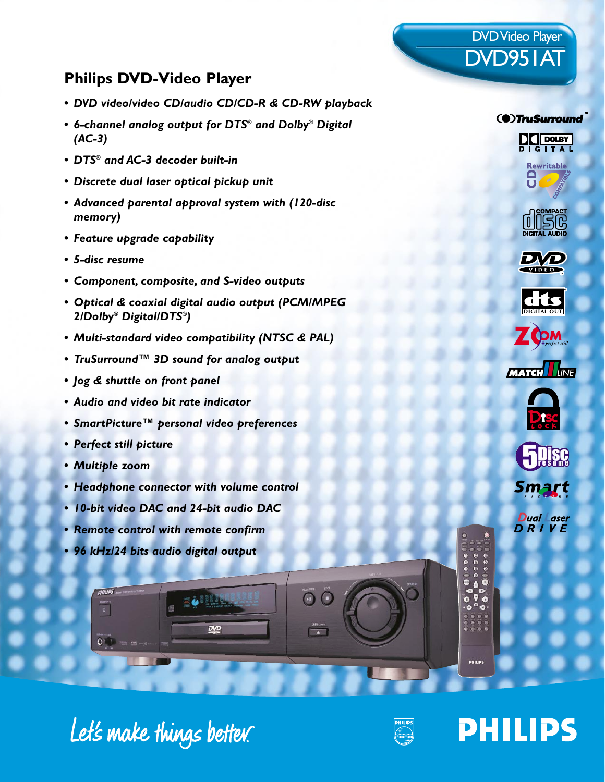### **Philips DVD-Video Player**

- *DVD video/video CD/audio CD/CD-R & CD-RW playback*
- *6-channel analog output for DTS® and Dolby® Digital (AC-3)*
- *DTS® and AC-3 decoder built-in*
- *Discrete dual laser optical pickup unit*
- *Advanced parental approval system with (120-disc memory)*
- *Feature upgrade capability*
- *5-disc resume*
- *Component, composite, and S-video outputs*
- *Optical & coaxial digital audio output (PCM/MPEG 2/Dolby® Digital/DTS®)*
- *Multi-standard video compatibility (NTSC & PAL)*
- *TruSurround™ 3D sound for analog output*
- *Jog & shuttle on front panel*
- *Audio and video bit rate indicator*
- *SmartPicture™ personal video preferences*
- *Perfect still picture*
- *Multiple zoom*
- *Headphone connector with volume control*

EU MA

DVD

- *10-bit video DAC and 24-bit audio DAC*
- *Remote control with remote confirm*
- *96 kHz/24 bits audio digital output*



DVD Video Player

DVD951AT



(@)TruSurround

**DO DOLBY** 













**Dual** Laser DRIVE

e<br>O

 $\bullet$ 

Let's make things better.